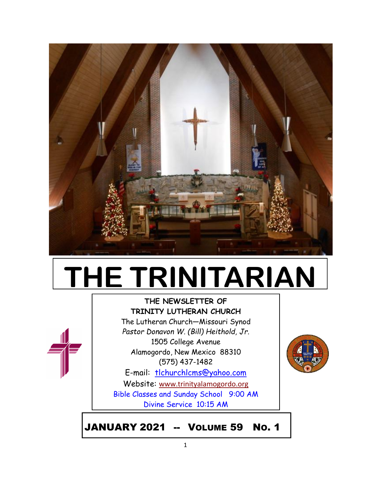

# **THE TRINITARIAN**

## **THE NEWSLETTER OF TRINITY LUTHERAN CHURCH** The Lutheran Church—Missouri Synod *Pastor Donavon W. (Bill) Heithold, Jr.*



1505 College Avenue Alamogordo, New Mexico 88310 (575) 437-1482

E-mail: tlchurchlcms@yahoo.com Website: [www.trinityalamogordo.org](http://www.tlcalamogordo/) Bible Classes and Sunday School 9:00 AM Divine Service 10:15 AM



JANUARY 2021 -- VOLUME 59 NO. 1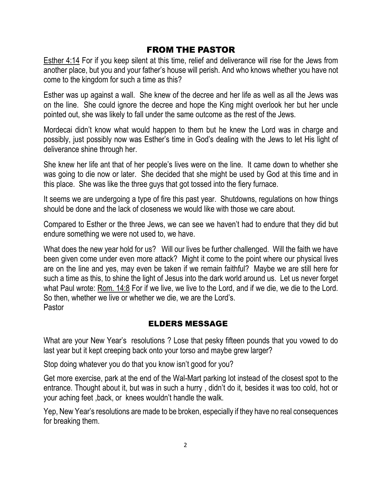## FROM THE PASTOR

Esther 4:14 For if you keep silent at this time, relief and deliverance will rise for the Jews from another place, but you and your father's house will perish. And who knows whether you have not come to the kingdom for such a time as this?

Esther was up against a wall. She knew of the decree and her life as well as all the Jews was on the line. She could ignore the decree and hope the King might overlook her but her uncle pointed out, she was likely to fall under the same outcome as the rest of the Jews.

Mordecai didn't know what would happen to them but he knew the Lord was in charge and possibly, just possibly now was Esther's time in God's dealing with the Jews to let His light of deliverance shine through her.

She knew her life ant that of her people's lives were on the line. It came down to whether she was going to die now or later. She decided that she might be used by God at this time and in this place. She was like the three guys that got tossed into the fiery furnace.

It seems we are undergoing a type of fire this past year. Shutdowns, regulations on how things should be done and the lack of closeness we would like with those we care about.

Compared to Esther or the three Jews, we can see we haven't had to endure that they did but endure something we were not used to, we have.

What does the new year hold for us? Will our lives be further challenged. Will the faith we have been given come under even more attack? Might it come to the point where our physical lives are on the line and yes, may even be taken if we remain faithful? Maybe we are still here for such a time as this, to shine the light of Jesus into the dark world around us. Let us never forget what Paul wrote: Rom. 14:8 For if we live, we live to the Lord, and if we die, we die to the Lord. So then, whether we live or whether we die, we are the Lord's. Pastor

## ELDERS MESSAGE

What are your New Year's resolutions ? Lose that pesky fifteen pounds that you vowed to do last year but it kept creeping back onto your torso and maybe grew larger?

Stop doing whatever you do that you know isn't good for you?

Get more exercise, park at the end of the Wal-Mart parking lot instead of the closest spot to the entrance. Thought about it, but was in such a hurry , didn't do it, besides it was too cold, hot or your aching feet ,back, or knees wouldn't handle the walk.

Yep, New Year's resolutions are made to be broken, especially if they have no real consequences for breaking them.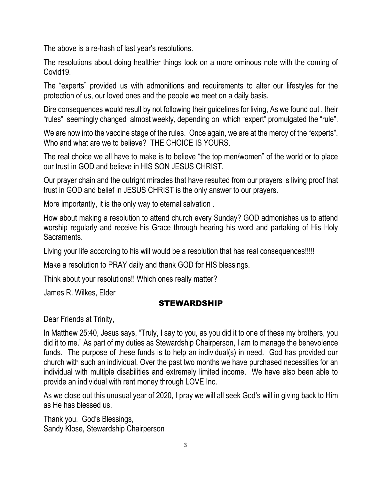The above is a re-hash of last year's resolutions.

The resolutions about doing healthier things took on a more ominous note with the coming of Covid19.

The "experts" provided us with admonitions and requirements to alter our lifestyles for the protection of us, our loved ones and the people we meet on a daily basis.

Dire consequences would result by not following their guidelines for living, As we found out , their "rules" seemingly changed almost weekly, depending on which "expert" promulgated the "rule".

We are now into the vaccine stage of the rules. Once again, we are at the mercy of the "experts". Who and what are we to believe? THE CHOICE IS YOURS.

The real choice we all have to make is to believe "the top men/women" of the world or to place our trust in GOD and believe in HIS SON JESUS CHRIST.

Our prayer chain and the outright miracles that have resulted from our prayers is living proof that trust in GOD and belief in JESUS CHRIST is the only answer to our prayers.

More importantly, it is the only way to eternal salvation .

How about making a resolution to attend church every Sunday? GOD admonishes us to attend worship regularly and receive his Grace through hearing his word and partaking of His Holy Sacraments.

Living your life according to his will would be a resolution that has real consequences!!!!!

Make a resolution to PRAY daily and thank GOD for HIS blessings.

Think about your resolutions!! Which ones really matter?

James R. Wilkes, Elder

## STEWARDSHIP

Dear Friends at Trinity,

In Matthew 25:40, Jesus says, "Truly, I say to you, as you did it to one of these my brothers, you did it to me." As part of my duties as Stewardship Chairperson, I am to manage the benevolence funds. The purpose of these funds is to help an individual(s) in need. God has provided our church with such an individual. Over the past two months we have purchased necessities for an individual with multiple disabilities and extremely limited income. We have also been able to provide an individual with rent money through LOVE Inc.

As we close out this unusual year of 2020, I pray we will all seek God's will in giving back to Him as He has blessed us.

Thank you. God's Blessings, Sandy Klose, Stewardship Chairperson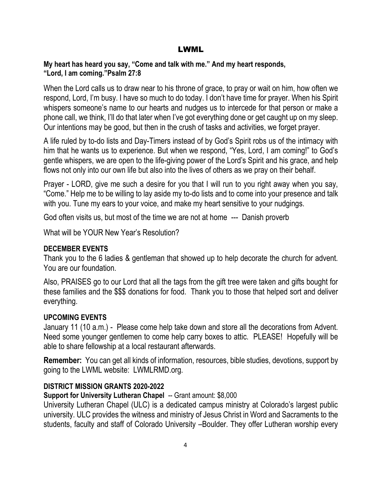#### LWML

#### **My heart has heard you say, "Come and talk with me." And my heart responds, "Lord, I am coming."Psalm 27:8**

When the Lord calls us to draw near to his throne of grace, to pray or wait on him, how often we respond, Lord, I'm busy. I have so much to do today. I don't have time for prayer. When his Spirit whispers someone's name to our hearts and nudges us to intercede for that person or make a phone call, we think, I'll do that later when I've got everything done or get caught up on my sleep. Our intentions may be good, but then in the crush of tasks and activities, we forget prayer.

A life ruled by to-do lists and Day-Timers instead of by God's Spirit robs us of the intimacy with him that he wants us to experience. But when we respond, "Yes, Lord, I am coming!" to God's gentle whispers, we are open to the life-giving power of the Lord's Spirit and his grace, and help flows not only into our own life but also into the lives of others as we pray on their behalf.

Prayer - LORD, give me such a desire for you that I will run to you right away when you say, "Come." Help me to be willing to lay aside my to-do lists and to come into your presence and talk with you. Tune my ears to your voice, and make my heart sensitive to your nudgings.

God often visits us, but most of the time we are not at home --- Danish proverb

What will be YOUR New Year's Resolution?

## **DECEMBER EVENTS**

Thank you to the 6 ladies & gentleman that showed up to help decorate the church for advent. You are our foundation.

Also, PRAISES go to our Lord that all the tags from the gift tree were taken and gifts bought for these families and the \$\$\$ donations for food. Thank you to those that helped sort and deliver everything.

## **UPCOMING EVENTS**

January 11 (10 a.m.) - Please come help take down and store all the decorations from Advent. Need some younger gentlemen to come help carry boxes to attic. PLEASE! Hopefully will be able to share fellowship at a local restaurant afterwards.

**Remember:** You can get all kinds of information, resources, bible studies, devotions, support by going to the LWML website: LWMLRMD.org.

## **DISTRICT MISSION GRANTS 2020-2022**

**Support for University Lutheran Chapel** -- Grant amount: \$8,000

University Lutheran Chapel (ULC) is a dedicated campus ministry at Colorado's largest public university. ULC provides the witness and ministry of Jesus Christ in Word and Sacraments to the students, faculty and staff of Colorado University –Boulder. They offer Lutheran worship every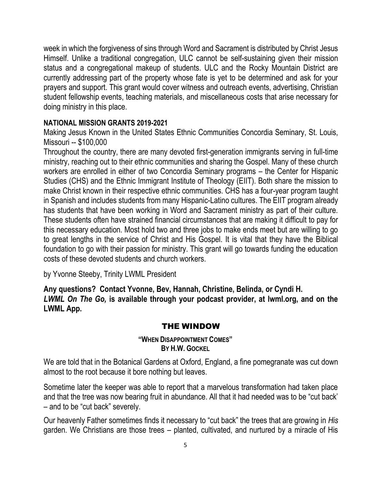week in which the forgiveness of sins through Word and Sacrament is distributed by Christ Jesus Himself. Unlike a traditional congregation, ULC cannot be self-sustaining given their mission status and a congregational makeup of students. ULC and the Rocky Mountain District are currently addressing part of the property whose fate is yet to be determined and ask for your prayers and support. This grant would cover witness and outreach events, advertising, Christian student fellowship events, teaching materials, and miscellaneous costs that arise necessary for doing ministry in this place.

#### **NATIONAL MISSION GRANTS 2019-2021**

Making Jesus Known in the United States Ethnic Communities Concordia Seminary, St. Louis, Missouri -- \$100,000

Throughout the country, there are many devoted first-generation immigrants serving in full-time ministry, reaching out to their ethnic communities and sharing the Gospel. Many of these church workers are enrolled in either of two Concordia Seminary programs – the Center for Hispanic Studies (CHS) and the Ethnic Immigrant Institute of Theology (EIIT). Both share the mission to make Christ known in their respective ethnic communities. CHS has a four-year program taught in Spanish and includes students from many Hispanic-Latino cultures. The EIIT program already has students that have been working in Word and Sacrament ministry as part of their culture. These students often have strained financial circumstances that are making it difficult to pay for this necessary education. Most hold two and three jobs to make ends meet but are willing to go to great lengths in the service of Christ and His Gospel. It is vital that they have the Biblical foundation to go with their passion for ministry. This grant will go towards funding the education costs of these devoted students and church workers.

by Yvonne Steeby, Trinity LWML President

**Any questions? Contact Yvonne, Bev, Hannah, Christine, Belinda, or Cyndi H.** *LWML On The Go,* **is available through your podcast provider, at lwml.org, and on the LWML App.**

## THE WINDOW

#### **"WHEN DISAPPOINTMENT COMES" BY H.W. GOCKEL**

We are told that in the Botanical Gardens at Oxford, England, a fine pomegranate was cut down almost to the root because it bore nothing but leaves.

Sometime later the keeper was able to report that a marvelous transformation had taken place and that the tree was now bearing fruit in abundance. All that it had needed was to be "cut back' – and to be "cut back" severely.

Our heavenly Father sometimes finds it necessary to "cut back" the trees that are growing in *His*  garden. We Christians are those trees – planted, cultivated, and nurtured by a miracle of His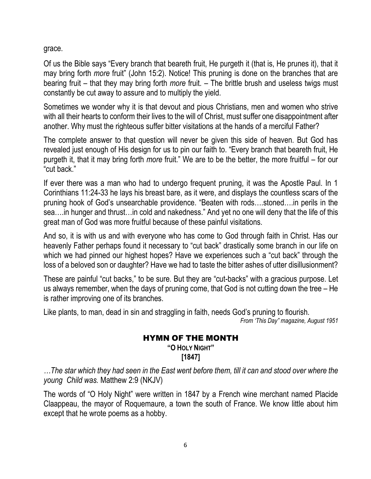grace.

Of us the Bible says "Every branch that beareth fruit, He purgeth it (that is, He prunes it), that it may bring forth *more* fruit" (John 15:2). Notice! This pruning is done on the branches that are bearing fruit – that they may bring forth *more* fruit. – The brittle brush and useless twigs must constantly be cut away to assure and to multiply the yield.

Sometimes we wonder why it is that devout and pious Christians, men and women who strive with all their hearts to conform their lives to the will of Christ, must suffer one disappointment after another. Why must the righteous suffer bitter visitations at the hands of a merciful Father?

The complete answer to that question will never be given this side of heaven. But God has revealed just enough of His design for us to pin our faith to. "Every branch that beareth fruit, He purgeth it, that it may bring forth *more* fruit." We are to be the better, the more fruitful – for our "cut back."

If ever there was a man who had to undergo frequent pruning, it was the Apostle Paul. In 1 Corinthians 11:24-33 he lays his breast bare, as it were, and displays the countless scars of the pruning hook of God's unsearchable providence. "Beaten with rods….stoned….in perils in the sea….in hunger and thrust…in cold and nakedness." And yet no one will deny that the life of this great man of God was more fruitful because of these painful visitations.

And so, it is with us and with everyone who has come to God through faith in Christ. Has our heavenly Father perhaps found it necessary to "cut back" drastically some branch in our life on which we had pinned our highest hopes? Have we experiences such a "cut back" through the loss of a beloved son or daughter? Have we had to taste the bitter ashes of utter disillusionment?

These are painful "cut backs," to be sure. But they are "cut-backs" with a gracious purpose. Let us always remember, when the days of pruning come, that God is not cutting down the tree – He is rather improving one of its branches.

Like plants, to man, dead in sin and straggling in faith, needs God's pruning to flourish.

*From 'This Day" magazine, August 1951*

## HYMN OF THE MONTH

**"O HOLY NIGHT" [1847]**

*…The star which they had seen in the East went before them, till it can and stood over where the young Child was.* Matthew 2:9 (NKJV)

The words of "O Holy Night" were written in 1847 by a French wine merchant named Placide Claappeau, the mayor of Roquemaure, a town the south of France. We know little about him except that he wrote poems as a hobby.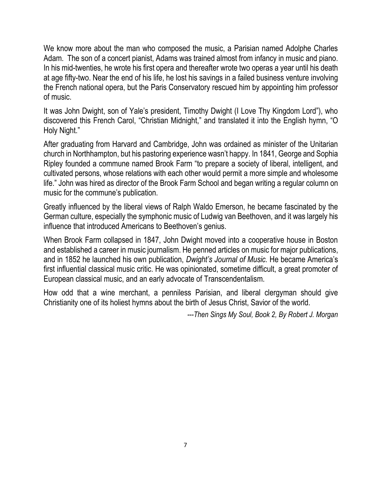We know more about the man who composed the music, a Parisian named Adolphe Charles Adam. The son of a concert pianist, Adams was trained almost from infancy in music and piano. In his mid-twenties, he wrote his first opera and thereafter wrote two operas a year until his death at age fifty-two. Near the end of his life, he lost his savings in a failed business venture involving the French national opera, but the Paris Conservatory rescued him by appointing him professor of music.

It was John Dwight, son of Yale's president, Timothy Dwight (I Love Thy Kingdom Lord"), who discovered this French Carol, "Christian Midnight," and translated it into the English hymn, "O Holy Night."

After graduating from Harvard and Cambridge, John was ordained as minister of the Unitarian church in Northhampton, but his pastoring experience wasn't happy. In 1841, George and Sophia Ripley founded a commune named Brook Farm "to prepare a society of liberal, intelligent, and cultivated persons, whose relations with each other would permit a more simple and wholesome life." John was hired as director of the Brook Farm School and began writing a regular column on music for the commune's publication.

Greatly influenced by the liberal views of Ralph Waldo Emerson, he became fascinated by the German culture, especially the symphonic music of Ludwig van Beethoven, and it was largely his influence that introduced Americans to Beethoven's genius.

When Brook Farm collapsed in 1847, John Dwight moved into a cooperative house in Boston and established a career in music journalism. He penned articles on music for major publications, and in 1852 he launched his own publication, *Dwight's Journal of Music.* He became America's first influential classical music critic. He was opinionated, sometime difficult, a great promoter of European classical music, and an early advocate of Transcendentalism.

How odd that a wine merchant, a penniless Parisian, and liberal clergyman should give Christianity one of its holiest hymns about the birth of Jesus Christ, Savior of the world.

*---Then Sings My Soul, Book 2, By Robert J. Morgan*